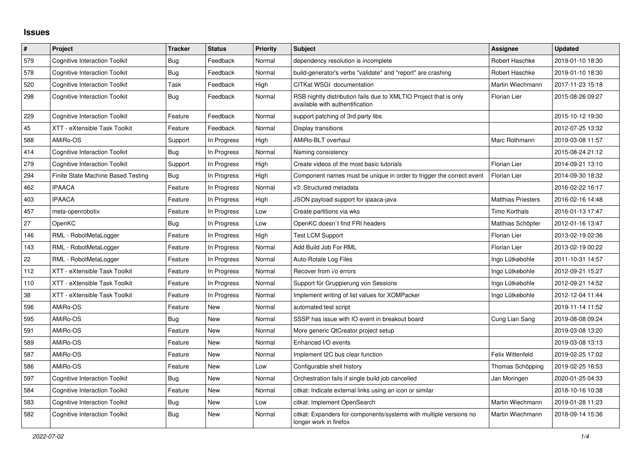## **Issues**

| $\pmb{\#}$ | Project                              | <b>Tracker</b> | <b>Status</b> | <b>Priority</b> | <b>Subject</b>                                                                                       | Assignee                  | <b>Updated</b>   |
|------------|--------------------------------------|----------------|---------------|-----------------|------------------------------------------------------------------------------------------------------|---------------------------|------------------|
| 579        | <b>Cognitive Interaction Toolkit</b> | Bug            | Feedback      | Normal          | dependency resolution is incomplete                                                                  | Robert Haschke            | 2019-01-10 18:30 |
| 578        | <b>Cognitive Interaction Toolkit</b> | Bug            | Feedback      | Normal          | build-generator's verbs "validate" and "report" are crashing                                         | Robert Haschke            | 2019-01-10 18:30 |
| 520        | Cognitive Interaction Toolkit        | Task           | Feedback      | High            | CITKat WSGI documentation                                                                            | Martin Wiechmann          | 2017-11-23 15:18 |
| 298        | <b>Cognitive Interaction Toolkit</b> | Bug            | Feedback      | Normal          | RSB nightly distribution fails due to XMLTIO Project that is only<br>available with authentification | <b>Florian Lier</b>       | 2015-08-26 09:27 |
| 229        | Cognitive Interaction Toolkit        | Feature        | Feedback      | Normal          | support patching of 3rd party libs                                                                   |                           | 2015-10-12 19:30 |
| 45         | XTT - eXtensible Task Toolkit        | Feature        | Feedback      | Normal          | Display transitions                                                                                  |                           | 2012-07-25 13:32 |
| 588        | AMiRo-OS                             | Support        | In Progress   | High            | AMiRo-BLT overhaul                                                                                   | Marc Rothmann             | 2019-03-08 11:57 |
| 414        | <b>Cognitive Interaction Toolkit</b> | Bug            | In Progress   | Normal          | Naming consistency                                                                                   |                           | 2015-08-24 21:12 |
| 279        | <b>Cognitive Interaction Toolkit</b> | Support        | In Progress   | High            | Create videos of the most basic tutorials                                                            | Florian Lier              | 2014-09-21 13:10 |
| 294        | Finite State Machine Based Testing   | Bug            | In Progress   | High            | Component names must be unique in order to trigger the correct event                                 | <b>Florian Lier</b>       | 2014-09-30 18:32 |
| 462        | <b>IPAACA</b>                        | Feature        | In Progress   | Normal          | v3: Structured metadata                                                                              |                           | 2016-02-22 16:17 |
| 403        | <b>IPAACA</b>                        | Feature        | In Progress   | High            | JSON payload support for ipaaca-java                                                                 | <b>Matthias Priesters</b> | 2016-02-16 14:48 |
| 457        | meta-openrobotix                     | Feature        | In Progress   | Low             | Create partitions via wks                                                                            | Timo Korthals             | 2016-01-13 17:47 |
| 27         | <b>OpenKC</b>                        | Bug            | In Progress   | Low             | OpenKC doesn't find FRI headers                                                                      | Matthias Schöpfer         | 2012-01-16 13:47 |
| 146        | RML - RobotMetaLogger                | Feature        | In Progress   | High            | <b>Test LCM Support</b>                                                                              | <b>Florian Lier</b>       | 2013-02-19 02:36 |
| 143        | RML - RobotMetaLogger                | Feature        | In Progress   | Normal          | Add Build Job For RML                                                                                | Florian Lier              | 2013-02-19 00:22 |
| 22         | RML - RobotMetaLogger                | Feature        | In Progress   | Normal          | Auto-Rotate Log Files                                                                                | Ingo Lütkebohle           | 2011-10-31 14:57 |
| 112        | XTT - eXtensible Task Toolkit        | Feature        | In Progress   | Normal          | Recover from i/o errors                                                                              | Ingo Lütkebohle           | 2012-09-21 15:27 |
| 110        | XTT - eXtensible Task Toolkit        | Feature        | In Progress   | Normal          | Support für Gruppierung von Sessions                                                                 | Ingo Lütkebohle           | 2012-09-21 14:52 |
| 38         | XTT - eXtensible Task Toolkit        | Feature        | In Progress   | Normal          | Implement writing of list values for XOMPacker                                                       | Ingo Lütkebohle           | 2012-12-04 11:44 |
| 596        | AMiRo-OS                             | Feature        | New           | Normal          | automated test script                                                                                |                           | 2019-11-14 11:52 |
| 595        | AMiRo-OS                             | Bug            | New           | Normal          | SSSP has issue with IO event in breakout board                                                       | Cung Lian Sang            | 2019-08-08 09:24 |
| 591        | AMiRo-OS                             | Feature        | New           | Normal          | More generic QtCreator project setup                                                                 |                           | 2019-03-08 13:20 |
| 589        | AMiRo-OS                             | Feature        | New           | Normal          | Enhanced I/O events                                                                                  |                           | 2019-03-08 13:13 |
| 587        | AMiRo-OS                             | Feature        | New           | Normal          | Implement I2C bus clear function                                                                     | Felix Wittenfeld          | 2019-02-25 17:02 |
| 586        | AMiRo-OS                             | Feature        | New           | Low             | Configurable shell history                                                                           | Thomas Schöpping          | 2019-02-25 16:53 |
| 597        | <b>Cognitive Interaction Toolkit</b> | Bug            | <b>New</b>    | Normal          | Orchestration fails if single build job cancelled                                                    | Jan Moringen              | 2020-01-25 04:33 |
| 584        | <b>Cognitive Interaction Toolkit</b> | Feature        | New           | Normal          | citkat: Indicate external links using an icon or similar                                             |                           | 2018-10-16 10:38 |
| 583        | <b>Cognitive Interaction Toolkit</b> | <b>Bug</b>     | New           | Low             | citkat: Implement OpenSearch                                                                         | Martin Wiechmann          | 2019-01-28 11:23 |
| 582        | <b>Cognitive Interaction Toolkit</b> | Bug            | New           | Normal          | citkat: Expanders for components/systems with multiple versions no<br>longer work in firefox         | Martin Wiechmann          | 2018-09-14 15:36 |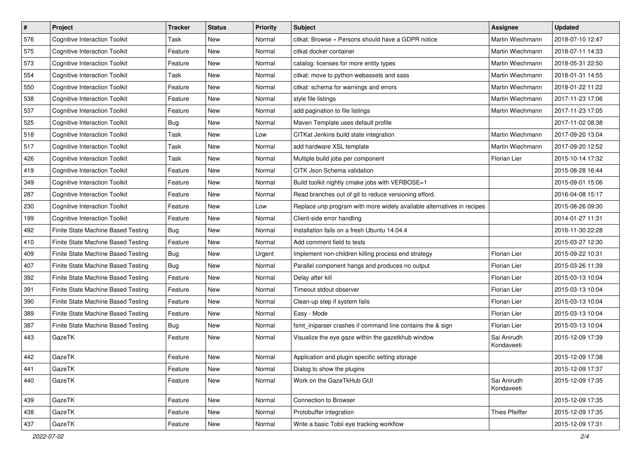| $\sharp$ | Project                              | <b>Tracker</b> | <b>Status</b> | <b>Priority</b> | Subject                                                                | <b>Assignee</b>           | <b>Updated</b>   |
|----------|--------------------------------------|----------------|---------------|-----------------|------------------------------------------------------------------------|---------------------------|------------------|
| 576      | <b>Cognitive Interaction Toolkit</b> | Task           | New           | Normal          | citkat: Browse » Persons should have a GDPR notice                     | Martin Wiechmann          | 2018-07-10 12:47 |
| 575      | <b>Cognitive Interaction Toolkit</b> | Feature        | New           | Normal          | citkat docker container                                                | Martin Wiechmann          | 2018-07-11 14:33 |
| 573      | <b>Cognitive Interaction Toolkit</b> | Feature        | New           | Normal          | catalog: licenses for more entity types                                | Martin Wiechmann          | 2018-05-31 22:50 |
| 554      | <b>Cognitive Interaction Toolkit</b> | Task           | New           | Normal          | citkat: move to python webassets and sass                              | Martin Wiechmann          | 2018-01-31 14:55 |
| 550      | <b>Cognitive Interaction Toolkit</b> | Feature        | New           | Normal          | citkat: schema for warnings and errors                                 | Martin Wiechmann          | 2018-01-22 11:22 |
| 538      | <b>Cognitive Interaction Toolkit</b> | Feature        | New           | Normal          | style file listings                                                    | Martin Wiechmann          | 2017-11-23 17:06 |
| 537      | <b>Cognitive Interaction Toolkit</b> | Feature        | New           | Normal          | add pagination to file listings                                        | Martin Wiechmann          | 2017-11-23 17:05 |
| 525      | <b>Cognitive Interaction Toolkit</b> | <b>Bug</b>     | New           | Normal          | Maven Template uses default profile                                    |                           | 2017-11-02 08:38 |
| 518      | <b>Cognitive Interaction Toolkit</b> | Task           | New           | Low             | CITKat Jenkins build state integration                                 | Martin Wiechmann          | 2017-09-20 13:04 |
| 517      | <b>Cognitive Interaction Toolkit</b> | Task           | New           | Normal          | add hardware XSL template                                              | Martin Wiechmann          | 2017-09-20 12:52 |
| 426      | <b>Cognitive Interaction Toolkit</b> | Task           | New           | Normal          | Multiple build jobs per component                                      | Florian Lier              | 2015-10-14 17:32 |
| 419      | <b>Cognitive Interaction Toolkit</b> | Feature        | New           | Normal          | CITK Json Schema validation                                            |                           | 2015-08-28 16:44 |
| 349      | <b>Cognitive Interaction Toolkit</b> | Feature        | New           | Normal          | Build toolkit nightly cmake jobs with VERBOSE=1                        |                           | 2015-09-01 15:06 |
| 287      | <b>Cognitive Interaction Toolkit</b> | Feature        | New           | Normal          | Read branches out of git to reduce versioning efford.                  |                           | 2016-04-08 15:17 |
| 230      | <b>Cognitive Interaction Toolkit</b> | Feature        | New           | Low             | Replace unp program with more widely available alternatives in recipes |                           | 2015-08-26 09:30 |
| 199      | <b>Cognitive Interaction Toolkit</b> | Feature        | New           | Normal          | Client-side error handling                                             |                           | 2014-01-27 11:31 |
| 492      | Finite State Machine Based Testing   | Bug            | New           | Normal          | Installation fails on a fresh Ubuntu 14.04.4                           |                           | 2016-11-30 22:28 |
| 410      | Finite State Machine Based Testing   | Feature        | New           | Normal          | Add comment field to tests                                             |                           | 2015-03-27 12:30 |
| 409      | Finite State Machine Based Testing   | <b>Bug</b>     | New           | Urgent          | Implement non-children killing process end strategy                    | Florian Lier              | 2015-09-22 10:31 |
| 407      | Finite State Machine Based Testing   | Bug            | New           | Normal          | Parallel component hangs and produces no output                        | Florian Lier              | 2015-03-26 11:39 |
| 392      | Finite State Machine Based Testing   | Feature        | New           | Normal          | Delay after kill                                                       | Florian Lier              | 2015-03-13 10:04 |
| 391      | Finite State Machine Based Testing   | Feature        | New           | Normal          | Timeout stdout observer                                                | Florian Lier              | 2015-03-13 10:04 |
| 390      | Finite State Machine Based Testing   | Feature        | New           | Normal          | Clean-up step if system fails                                          | Florian Lier              | 2015-03-13 10:04 |
| 389      | Finite State Machine Based Testing   | Feature        | New           | Normal          | Easy - Mode                                                            | Florian Lier              | 2015-03-13 10:04 |
| 387      | Finite State Machine Based Testing   | Bug            | New           | Normal          | fsmt_iniparser crashes if command line contains the & sign             | Florian Lier              | 2015-03-13 10:04 |
| 443      | GazeTK                               | Feature        | New           | Normal          | Visualize the eye gaze within the gazetkhub window                     | Sai Anirudh<br>Kondaveeti | 2015-12-09 17:39 |
| 442      | GazeTK                               | Feature        | New           | Normal          | Application and plugin specific setting storage                        |                           | 2015-12-09 17:38 |
| 441      | GazeTK                               | Feature        | New           | Normal          | Dialog to show the plugins                                             |                           | 2015-12-09 17:37 |
| 440      | GazeTK                               | Feature        | New           | Normal          | Work on the GazeTkHub GUI                                              | Sai Anirudh<br>Kondaveeti | 2015-12-09 17:35 |
| 439      | GazeTK                               | Feature        | New           | Normal          | Connection to Browser                                                  |                           | 2015-12-09 17:35 |
| 438      | GazeTK                               | Feature        | New           | Normal          | Protobuffer integration                                                | Thies Pfeiffer            | 2015-12-09 17:35 |
| 437      | GazeTK                               | Feature        | New           | Normal          | Write a basic Tobii eye tracking workflow                              |                           | 2015-12-09 17:31 |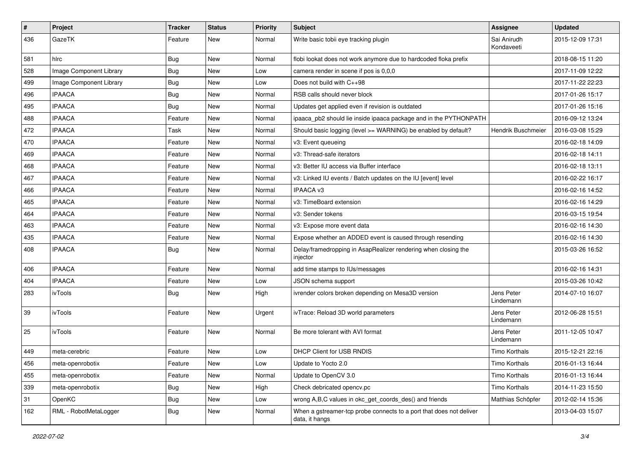| #   | Project                 | <b>Tracker</b> | <b>Status</b> | <b>Priority</b> | Subject                                                                               | Assignee                  | <b>Updated</b>   |
|-----|-------------------------|----------------|---------------|-----------------|---------------------------------------------------------------------------------------|---------------------------|------------------|
| 436 | GazeTK                  | Feature        | New           | Normal          | Write basic tobii eye tracking plugin                                                 | Sai Anirudh<br>Kondaveeti | 2015-12-09 17:31 |
| 581 | hlrc                    | Bug            | New           | Normal          | flobi lookat does not work anymore due to hardcoded floka prefix                      |                           | 2018-08-15 11:20 |
| 528 | Image Component Library | Bug            | New           | Low             | camera render in scene if pos is 0,0,0                                                |                           | 2017-11-09 12:22 |
| 499 | Image Component Library | Bug            | <b>New</b>    | Low             | Does not build with C++98                                                             |                           | 2017-11-22 22:23 |
| 496 | <b>IPAACA</b>           | Bug            | New           | Normal          | RSB calls should never block                                                          |                           | 2017-01-26 15:17 |
| 495 | <b>IPAACA</b>           | Bug            | New           | Normal          | Updates get applied even if revision is outdated                                      |                           | 2017-01-26 15:16 |
| 488 | <b>IPAACA</b>           | Feature        | New           | Normal          | ipaaca_pb2 should lie inside ipaaca package and in the PYTHONPATH                     |                           | 2016-09-12 13:24 |
| 472 | <b>IPAACA</b>           | Task           | New           | Normal          | Should basic logging (level >= WARNING) be enabled by default?                        | Hendrik Buschmeier        | 2016-03-08 15:29 |
| 470 | <b>IPAACA</b>           | Feature        | <b>New</b>    | Normal          | v3: Event queueing                                                                    |                           | 2016-02-18 14:09 |
| 469 | <b>IPAACA</b>           | Feature        | New           | Normal          | v3: Thread-safe iterators                                                             |                           | 2016-02-18 14:11 |
| 468 | <b>IPAACA</b>           | Feature        | New           | Normal          | v3: Better IU access via Buffer interface                                             |                           | 2016-02-18 13:11 |
| 467 | <b>IPAACA</b>           | Feature        | New           | Normal          | v3: Linked IU events / Batch updates on the IU [event] level                          |                           | 2016-02-22 16:17 |
| 466 | <b>IPAACA</b>           | Feature        | <b>New</b>    | Normal          | IPAACA v3                                                                             |                           | 2016-02-16 14:52 |
| 465 | <b>IPAACA</b>           | Feature        | New           | Normal          | v3: TimeBoard extension                                                               |                           | 2016-02-16 14:29 |
| 464 | <b>IPAACA</b>           | Feature        | New           | Normal          | v3: Sender tokens                                                                     |                           | 2016-03-15 19:54 |
| 463 | <b>IPAACA</b>           | Feature        | New           | Normal          | v3: Expose more event data                                                            |                           | 2016-02-16 14:30 |
| 435 | <b>IPAACA</b>           | Feature        | New           | Normal          | Expose whether an ADDED event is caused through resending                             |                           | 2016-02-16 14:30 |
| 408 | <b>IPAACA</b>           | Bug            | New           | Normal          | Delay/framedropping in AsapRealizer rendering when closing the<br>injector            |                           | 2015-03-26 16:52 |
| 406 | <b>IPAACA</b>           | Feature        | <b>New</b>    | Normal          | add time stamps to IUs/messages                                                       |                           | 2016-02-16 14:31 |
| 404 | <b>IPAACA</b>           | Feature        | New           | Low             | JSON schema support                                                                   |                           | 2015-03-26 10:42 |
| 283 | ivTools                 | Bug            | <b>New</b>    | High            | ivrender colors broken depending on Mesa3D version                                    | Jens Peter<br>Lindemann   | 2014-07-10 16:07 |
| 39  | ivTools                 | Feature        | New           | Urgent          | ivTrace: Reload 3D world parameters                                                   | Jens Peter<br>Lindemann   | 2012-06-28 15:51 |
| 25  | ivTools                 | Feature        | <b>New</b>    | Normal          | Be more tolerant with AVI format                                                      | Jens Peter<br>Lindemann   | 2011-12-05 10:47 |
| 449 | meta-cerebric           | Feature        | New           | Low             | DHCP Client for USB RNDIS                                                             | Timo Korthals             | 2015-12-21 22:16 |
| 456 | meta-openrobotix        | Feature        | New           | Low             | Update to Yocto 2.0                                                                   | Timo Korthals             | 2016-01-13 16:44 |
| 455 | meta-openrobotix        | Feature        | New           | Normal          | Update to OpenCV 3.0                                                                  | Timo Korthals             | 2016-01-13 16:44 |
| 339 | meta-openrobotix        | <b>Bug</b>     | New           | High            | Check debricated opency.pc                                                            | Timo Korthals             | 2014-11-23 15:50 |
| 31  | OpenKC                  | <b>Bug</b>     | New           | Low             | wrong A,B,C values in okc_get_coords_des() and friends                                | Matthias Schöpfer         | 2012-02-14 15:36 |
| 162 | RML - RobotMetaLogger   | Bug            | New           | Normal          | When a gstreamer-tcp probe connects to a port that does not deliver<br>data, it hangs |                           | 2013-04-03 15:07 |